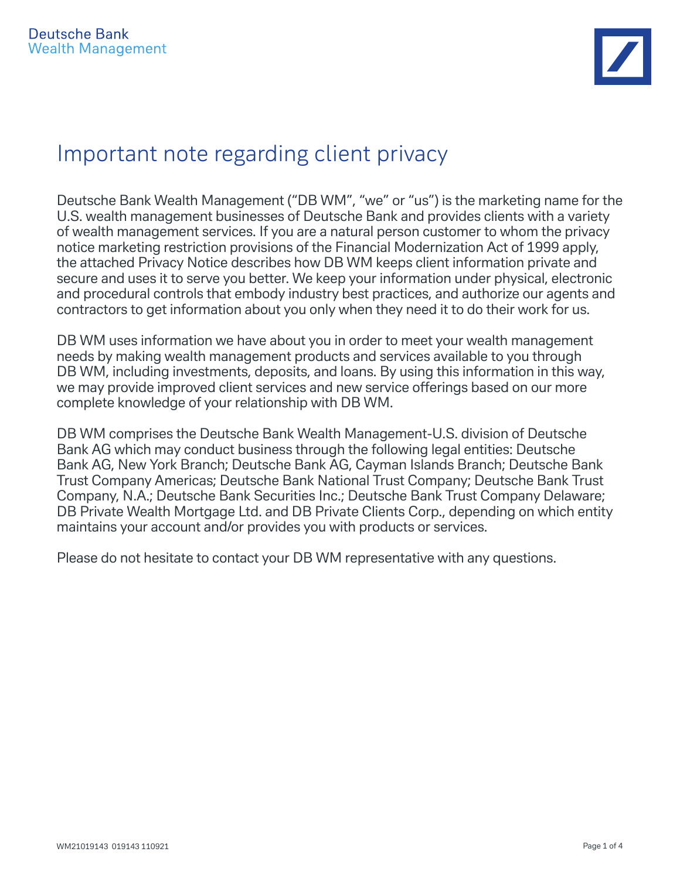## Important note regarding client privacy

Deutsche Bank Wealth Management ("DB WM", "we" or "us") is the marketing name for the U.S. wealth management businesses of Deutsche Bank and provides clients with a variety of wealth management services. If you are a natural person customer to whom the privacy notice marketing restriction provisions of the Financial Modernization Act of 1999 apply, the attached Privacy Notice describes how DB WM keeps client information private and secure and uses it to serve you better. We keep your information under physical, electronic and procedural controls that embody industry best practices, and authorize our agents and contractors to get information about you only when they need it to do their work for us.

DB WM uses information we have about you in order to meet your wealth management needs by making wealth management products and services available to you through DB WM, including investments, deposits, and loans. By using this information in this way, we may provide improved client services and new service offerings based on our more complete knowledge of your relationship with DB WM.

DB WM comprises the Deutsche Bank Wealth Management-U.S. division of Deutsche Bank AG which may conduct business through the following legal entities: Deutsche Bank AG, New York Branch; Deutsche Bank AG, Cayman Islands Branch; Deutsche Bank Trust Company Americas; Deutsche Bank National Trust Company; Deutsche Bank Trust Company, N.A.; Deutsche Bank Securities Inc.; Deutsche Bank Trust Company Delaware; DB Private Wealth Mortgage Ltd. and DB Private Clients Corp., depending on which entity maintains your account and/or provides you with products or services.

Please do not hesitate to contact your DB WM representative with any questions.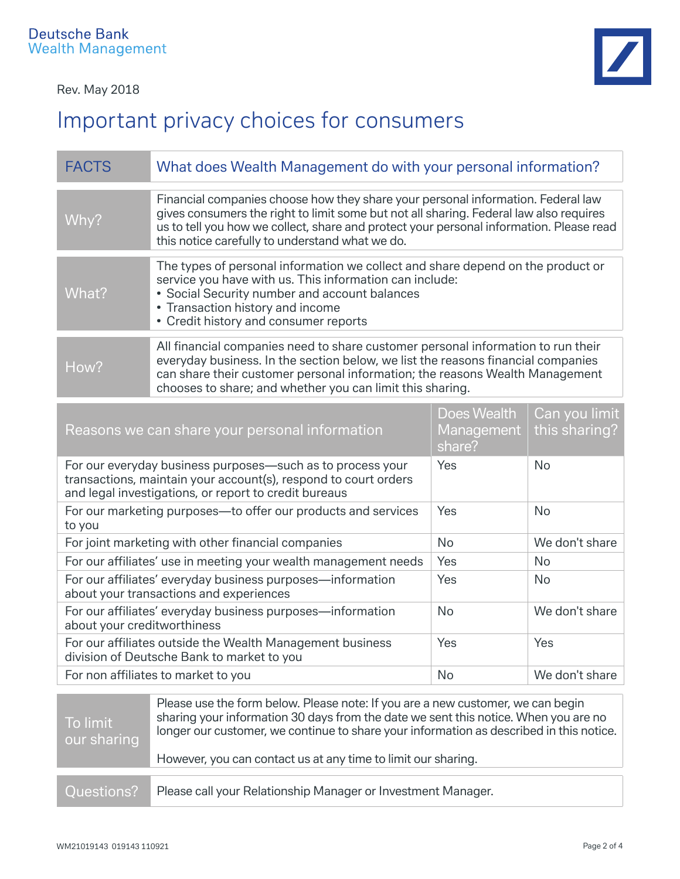# Important privacy choices for consumers

| <b>FACTS</b> | What does Wealth Management do with your personal information?                                                                                                                                                                                                                                                           |
|--------------|--------------------------------------------------------------------------------------------------------------------------------------------------------------------------------------------------------------------------------------------------------------------------------------------------------------------------|
| Why?         | Financial companies choose how they share your personal information. Federal law<br>gives consumers the right to limit some but not all sharing. Federal law also requires<br>us to tell you how we collect, share and protect your personal information. Please read<br>this notice carefully to understand what we do. |
| What?        | The types of personal information we collect and share depend on the product or<br>service you have with us. This information can include:<br>• Social Security number and account balances<br>• Transaction history and income<br>• Credit history and consumer reports                                                 |
| How?         | All financial companies need to share customer personal information to run their<br>everyday business. In the section below, we list the reasons financial companies<br>can share their customer personal information; the reasons Wealth Management<br>chooses to share; and whether you can limit this sharing.        |

| Reasons we can share your personal information                                                                                                                                         | Does Wealth<br>Management<br>share? | Can you limit<br>this sharing? |
|----------------------------------------------------------------------------------------------------------------------------------------------------------------------------------------|-------------------------------------|--------------------------------|
| For our everyday business purposes—such as to process your<br>transactions, maintain your account(s), respond to court orders<br>and legal investigations, or report to credit bureaus | Yes                                 | <b>No</b>                      |
| For our marketing purposes-to offer our products and services<br>to you                                                                                                                | Yes                                 | <b>No</b>                      |
| For joint marketing with other financial companies                                                                                                                                     | <b>No</b>                           | We don't share                 |
| For our affiliates' use in meeting your wealth management needs                                                                                                                        | Yes                                 | <b>No</b>                      |
| For our affiliates' everyday business purposes-information<br>about your transactions and experiences                                                                                  | Yes                                 | <b>No</b>                      |
| For our affiliates' everyday business purposes—information<br>about your creditworthiness                                                                                              | <b>No</b>                           | We don't share                 |
| For our affiliates outside the Wealth Management business<br>division of Deutsche Bank to market to you                                                                                | Yes                                 | Yes                            |
| For non affiliates to market to you                                                                                                                                                    | <b>No</b>                           | We don't share                 |

| To limit<br>our sharing | Please use the form below. Please note: If you are a new customer, we can begin<br>sharing your information 30 days from the date we sent this notice. When you are no<br>longer our customer, we continue to share your information as described in this notice. |
|-------------------------|-------------------------------------------------------------------------------------------------------------------------------------------------------------------------------------------------------------------------------------------------------------------|
|                         | However, you can contact us at any time to limit our sharing.                                                                                                                                                                                                     |
| Questions?              | Please call your Relationship Manager or Investment Manager.                                                                                                                                                                                                      |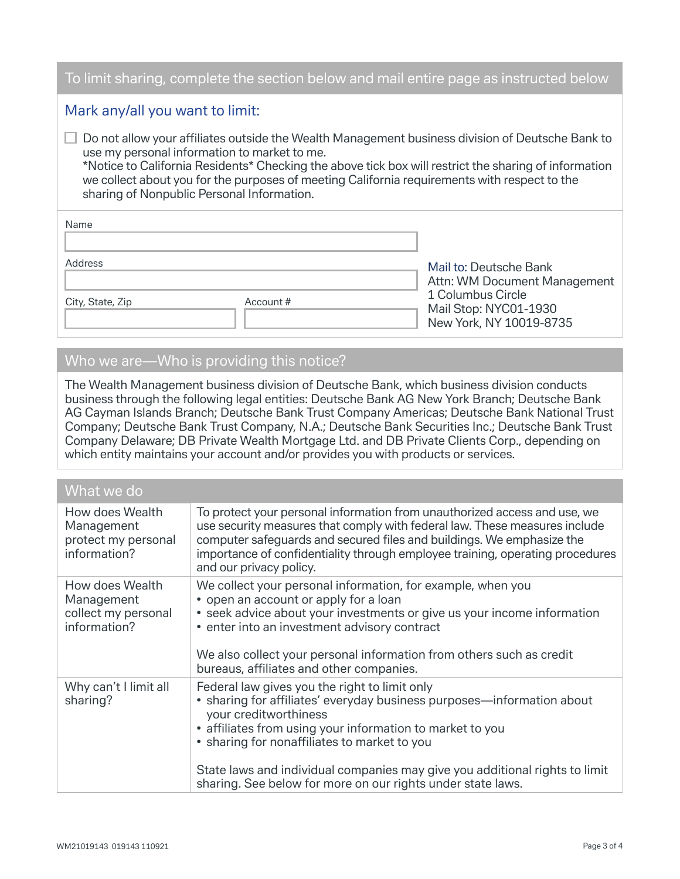#### To limit sharing, complete the section below and mail entire page as instructed below

#### Mark any/all you want to limit:

 Do not allow your affiliates outside the Wealth Management business division of Deutsche Bank to use my personal information to market to me. \*Notice to California Residents\* Checking the above tick box will restrict the sharing of information

we collect about you for the purposes of meeting California requirements with respect to the sharing of Nonpublic Personal Information.

| Name             |           |                                                                       |
|------------------|-----------|-----------------------------------------------------------------------|
|                  |           |                                                                       |
| Address          |           | Mail to: Deutsche Bank                                                |
|                  |           | Attn: WM Document Management                                          |
| City, State, Zip | Account # | 1 Columbus Circle<br>Mail Stop: NYC01-1930<br>New York, NY 10019-8735 |

### Who we are—Who is providing this notice?

The Wealth Management business division of Deutsche Bank, which business division conducts business through the following legal entities: Deutsche Bank AG New York Branch; Deutsche Bank AG Cayman Islands Branch; Deutsche Bank Trust Company Americas; Deutsche Bank National Trust Company; Deutsche Bank Trust Company, N.A.; Deutsche Bank Securities Inc.; Deutsche Bank Trust Company Delaware; DB Private Wealth Mortgage Ltd. and DB Private Clients Corp., depending on which entity maintains your account and/or provides you with products or services.

#### What we do

| How does Wealth<br>Management<br>protect my personal<br>information? | To protect your personal information from unauthorized access and use, we<br>use security measures that comply with federal law. These measures include<br>computer safeguards and secured files and buildings. We emphasize the<br>importance of confidentiality through employee training, operating procedures<br>and our privacy policy.                                                                |
|----------------------------------------------------------------------|-------------------------------------------------------------------------------------------------------------------------------------------------------------------------------------------------------------------------------------------------------------------------------------------------------------------------------------------------------------------------------------------------------------|
| How does Wealth<br>Management<br>collect my personal<br>information? | We collect your personal information, for example, when you<br>• open an account or apply for a loan<br>• seek advice about your investments or give us your income information<br>• enter into an investment advisory contract<br>We also collect your personal information from others such as credit<br>bureaus, affiliates and other companies.                                                         |
| Why can't I limit all<br>sharing?                                    | Federal law gives you the right to limit only<br>• sharing for affiliates' everyday business purposes—information about<br>your creditworthiness<br>• affiliates from using your information to market to you<br>• sharing for nonaffiliates to market to you<br>State laws and individual companies may give you additional rights to limit<br>sharing. See below for more on our rights under state laws. |